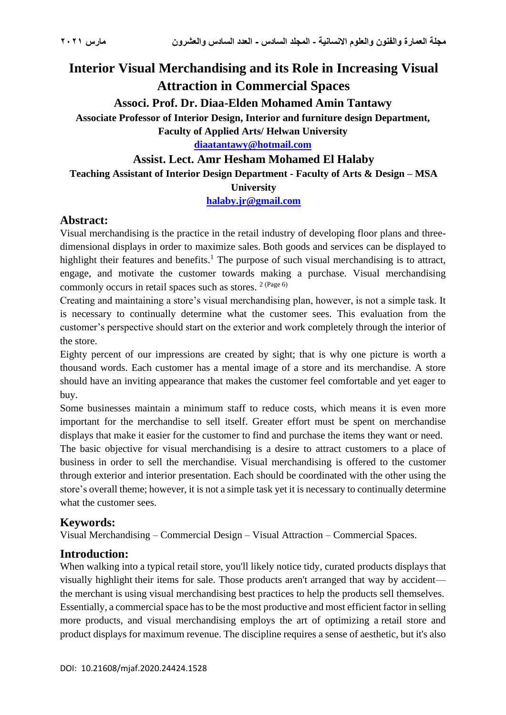# **Interior Visual Merchandising and its Role in Increasing Visual Attraction in Commercial Spaces**

**Associ. Prof. Dr. Diaa-Elden Mohamed Amin Tantawy**

**Associate Professor of Interior Design, Interior and furniture design Department,** 

**Faculty of Applied Arts/ Helwan University**

**[diaatantawy@hotmail.com](mailto:diaatantawy@hotmail.com)**

## **Assist. Lect. Amr Hesham Mohamed El Halaby**

**Teaching Assistant of Interior Design Department - Faculty of Arts & Design – MSA** 

**University**

**[halaby.jr@gmail.com](mailto:halaby.jr@gmail.com)**

## **Abstract:**

Visual merchandising is the practice in the retail industry of developing floor plans and threedimensional displays in order to maximize sales. Both goods and services can be displayed to highlight their features and benefits.<sup>1</sup> The purpose of such visual merchandising is to attract, engage, and motivate the customer towards making a purchase. Visual merchandising commonly occurs in retail spaces such as stores. 2 (Page 6)

Creating and maintaining a store's visual merchandising plan, however, is not a simple task. It is necessary to continually determine what the customer sees. This evaluation from the customer's perspective should start on the exterior and work completely through the interior of the store.

Eighty percent of our impressions are created by sight; that is why one picture is worth a thousand words. Each customer has a mental image of a store and its merchandise. A store should have an inviting appearance that makes the customer feel comfortable and yet eager to buy.

Some businesses maintain a minimum staff to reduce costs, which means it is even more important for the merchandise to sell itself. Greater effort must be spent on merchandise displays that make it easier for the customer to find and purchase the items they want or need.

The basic objective for visual merchandising is a desire to attract customers to a place of business in order to sell the merchandise. Visual merchandising is offered to the customer through exterior and interior presentation. Each should be coordinated with the other using the store's overall theme; however, it is not a simple task yet it is necessary to continually determine what the customer sees.

## **Keywords:**

Visual Merchandising – Commercial Design – Visual Attraction – Commercial Spaces.

## **Introduction:**

When walking into a typical retail store, you'll likely notice tidy, curated products displays that visually highlight their items for sale. Those products aren't arranged that way by accident the merchant is using visual merchandising best practices to help the products sell themselves. Essentially, a commercial space has to be the most productive and most efficient factor in selling more products, and visual merchandising employs the art of optimizing a retail store and product displays for maximum revenue. The discipline requires a sense of aesthetic, but it's also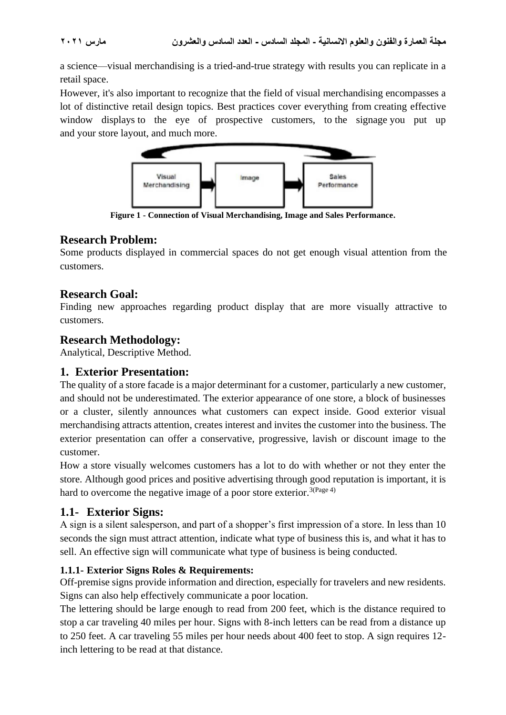a science—visual merchandising is a tried-and-true strategy with results you can replicate in a retail space.

However, it's also important to recognize that the field of visual merchandising encompasses a lot of distinctive retail design topics. Best practices cover everything from [creating effective](https://www.shopify.com/retail/120058947-a-fool-proof-guide-to-creating-window-displays-that-turn-heads-and-drive-foot-traffic)  [window displays](https://www.shopify.com/retail/120058947-a-fool-proof-guide-to-creating-window-displays-that-turn-heads-and-drive-foot-traffic) to the eye of prospective customers, to [the signage](https://www.shopify.com/retail/120058499-5-types-of-signage-no-retailer-can-afford-to-ignore) you put up and your store [layout,](https://www.shopify.com/retail/the-ultimate-guide-to-retail-store-layouts) and much more.



**Figure 1 - Connection of Visual Merchandising, Image and Sales Performance.**

## **Research Problem:**

Some products displayed in commercial spaces do not get enough visual attention from the customers.

## **Research Goal:**

Finding new approaches regarding product display that are more visually attractive to customers.

## **Research Methodology:**

Analytical, Descriptive Method.

## **1. Exterior Presentation:**

The quality of a store facade is a major determinant for a customer, particularly a new customer, and should not be underestimated. The exterior appearance of one store, a block of businesses or a cluster, silently announces what customers can expect inside. Good exterior visual merchandising attracts attention, creates interest and invites the customer into the business. The exterior presentation can offer a conservative, progressive, lavish or discount image to the customer.

How a store visually welcomes customers has a lot to do with whether or not they enter the store. Although good prices and positive advertising through good reputation is important, it is hard to overcome the negative image of a poor store exterior.<sup>3(Page 4)</sup>

## **1.1- Exterior Signs:**

A sign is a silent salesperson, and part of a shopper's first impression of a store. In less than 10 seconds the sign must attract attention, indicate what type of business this is, and what it has to sell. An effective sign will communicate what type of business is being conducted.

## **1.1.1- Exterior Signs Roles & Requirements:**

Off-premise signs provide information and direction, especially for travelers and new residents. Signs can also help effectively communicate a poor location.

The lettering should be large enough to read from 200 feet, which is the distance required to stop a car traveling 40 miles per hour. Signs with 8-inch letters can be read from a distance up to 250 feet. A car traveling 55 miles per hour needs about 400 feet to stop. A sign requires 12 inch lettering to be read at that distance.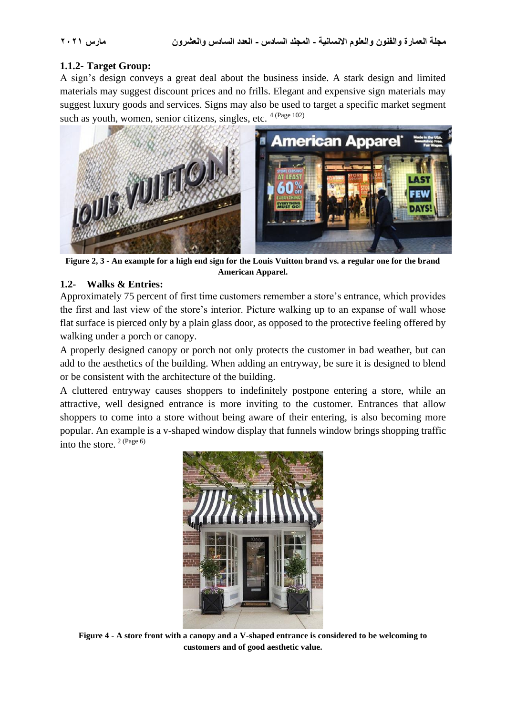## **1.1.2- Target Group:**

A sign's design conveys a great deal about the business inside. A stark design and limited materials may suggest discount prices and no frills. Elegant and expensive sign materials may suggest luxury goods and services. Signs may also be used to target a specific market segment such as youth, women, senior citizens, singles, etc. <sup>4 (Page 102)</sup>



**Figure 2, 3 - An example for a high end sign for the Louis Vuitton brand vs. a regular one for the brand American Apparel.**

## **1.2- Walks & Entries:**

Approximately 75 percent of first time customers remember a store's entrance, which provides the first and last view of the store's interior. Picture walking up to an expanse of wall whose flat surface is pierced only by a plain glass door, as opposed to the protective feeling offered by walking under a porch or canopy.

A properly designed canopy or porch not only protects the customer in bad weather, but can add to the aesthetics of the building. When adding an entryway, be sure it is designed to blend or be consistent with the architecture of the building.

A cluttered entryway causes shoppers to indefinitely postpone entering a store, while an attractive, well designed entrance is more inviting to the customer. Entrances that allow shoppers to come into a store without being aware of their entering, is also becoming more popular. An example is a v-shaped window display that funnels window brings shopping traffic into the store. 2 (Page 6)



**Figure 4 - A store front with a canopy and a V-shaped entrance is considered to be welcoming to customers and of good aesthetic value.**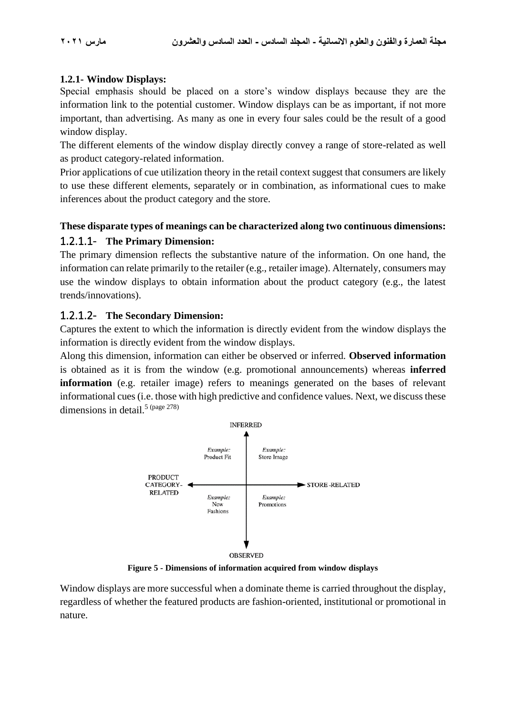## **1.2.1- Window Displays:**

Special emphasis should be placed on a store's window displays because they are the information link to the potential customer. Window displays can be as important, if not more important, than advertising. As many as one in every four sales could be the result of a good window display.

The different elements of the window display directly convey a range of store-related as well as product category-related information.

Prior applications of cue utilization theory in the retail context suggest that consumers are likely to use these different elements, separately or in combination, as informational cues to make inferences about the product category and the store.

## **These disparate types of meanings can be characterized along two continuous dimensions:** 1.2.1.1- **The Primary Dimension:**

The primary dimension reflects the substantive nature of the information. On one hand, the information can relate primarily to the retailer (e.g., retailer image). Alternately, consumers may use the window displays to obtain information about the product category (e.g., the latest trends/innovations).

## 1.2.1.2- **The Secondary Dimension:**

Captures the extent to which the information is directly evident from the window displays the information is directly evident from the window displays.

Along this dimension, information can either be observed or inferred. **Observed information** is obtained as it is from the window (e.g. promotional announcements) whereas **inferred information** (e.g. retailer image) refers to meanings generated on the bases of relevant informational cues (i.e. those with high predictive and confidence values. Next, we discuss these dimensions in detail.<sup>5 (page 278)</sup>



**Figure 5 - Dimensions of information acquired from window displays**

Window displays are more successful when a dominate theme is carried throughout the display, regardless of whether the featured products are fashion-oriented, institutional or promotional in nature.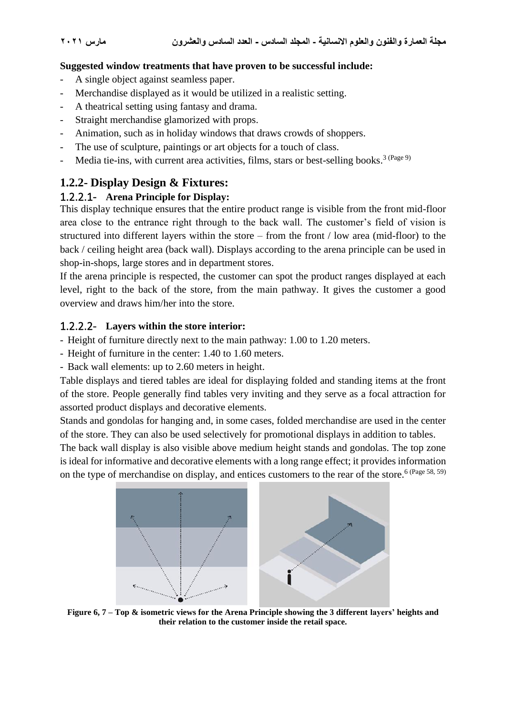#### **Suggested window treatments that have proven to be successful include:**

- A single object against seamless paper.
- Merchandise displayed as it would be utilized in a realistic setting.
- A theatrical setting using fantasy and drama.
- Straight merchandise glamorized with props.
- Animation, such as in holiday windows that draws crowds of shoppers.
- The use of sculpture, paintings or art objects for a touch of class.
- Media tie-ins, with current area activities, films, stars or best-selling books.<sup>3 (Page 9)</sup>

## **1.2.2- Display Design & Fixtures:**

## 1.2.2.1- **Arena Principle for Display:**

This display technique ensures that the entire product range is visible from the front mid-floor area close to the entrance right through to the back wall. The customer's field of vision is structured into different layers within the store – from the front / low area (mid-floor) to the back / ceiling height area (back wall). Displays according to the arena principle can be used in shop-in-shops, large stores and in department stores.

If the arena principle is respected, the customer can spot the product ranges displayed at each level, right to the back of the store, from the main pathway. It gives the customer a good overview and draws him/her into the store.

## 1.2.2.2- **Layers within the store interior:**

- Height of furniture directly next to the main pathway: 1.00 to 1.20 meters.
- Height of furniture in the center: 1.40 to 1.60 meters.
- Back wall elements: up to 2.60 meters in height.

Table displays and tiered tables are ideal for displaying folded and standing items at the front of the store. People generally find tables very inviting and they serve as a focal attraction for assorted product displays and decorative elements.

Stands and gondolas for hanging and, in some cases, folded merchandise are used in the center of the store. They can also be used selectively for promotional displays in addition to tables.

The back wall display is also visible above medium height stands and gondolas. The top zone is ideal for informative and decorative elements with a long range effect; it provides information on the type of merchandise on display, and entices customers to the rear of the store.<sup>6 (Page 58, 59)</sup>



**Figure 6, 7 – Top & isometric views for the Arena Principle showing the 3 different layers' heights and their relation to the customer inside the retail space.**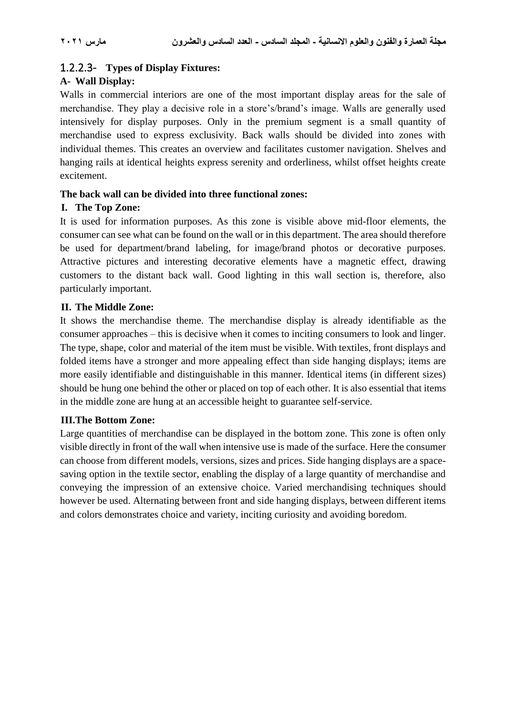## 1.2.2.3- **Types of Display Fixtures:**

#### **A- Wall Display:**

Walls in commercial interiors are one of the most important display areas for the sale of merchandise. They play a decisive role in a store's/brand's image. Walls are generally used intensively for display purposes. Only in the premium segment is a small quantity of merchandise used to express exclusivity. Back walls should be divided into zones with individual themes. This creates an overview and facilitates customer navigation. Shelves and hanging rails at identical heights express serenity and orderliness, whilst offset heights create excitement.

#### **The back wall can be divided into three functional zones:**

#### **I. The Top Zone:**

It is used for information purposes. As this zone is visible above mid-floor elements, the consumer can see what can be found on the wall or in this department. The area should therefore be used for department/brand labeling, for image/brand photos or decorative purposes. Attractive pictures and interesting decorative elements have a magnetic effect, drawing customers to the distant back wall. Good lighting in this wall section is, therefore, also particularly important.

## **II. The Middle Zone:**

It shows the merchandise theme. The merchandise display is already identifiable as the consumer approaches – this is decisive when it comes to inciting consumers to look and linger. The type, shape, color and material of the item must be visible. With textiles, front displays and folded items have a stronger and more appealing effect than side hanging displays; items are more easily identifiable and distinguishable in this manner. Identical items (in different sizes) should be hung one behind the other or placed on top of each other. It is also essential that items in the middle zone are hung at an accessible height to guarantee self-service.

## **III.The Bottom Zone:**

Large quantities of merchandise can be displayed in the bottom zone. This zone is often only visible directly in front of the wall when intensive use is made of the surface. Here the consumer can choose from different models, versions, sizes and prices. Side hanging displays are a spacesaving option in the textile sector, enabling the display of a large quantity of merchandise and conveying the impression of an extensive choice. Varied merchandising techniques should however be used. Alternating between front and side hanging displays, between different items and colors demonstrates choice and variety, inciting curiosity and avoiding boredom.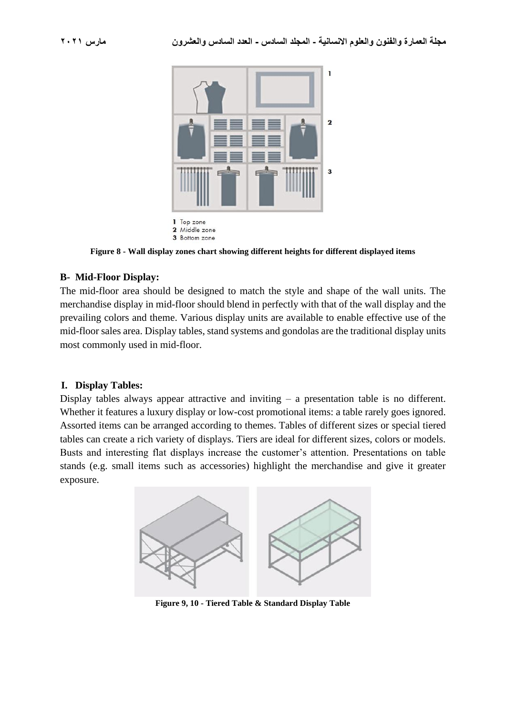

**Figure 8 - Wall display zones chart showing different heights for different displayed items**

#### **B- Mid-Floor Display:**

The mid-floor area should be designed to match the style and shape of the wall units. The merchandise display in mid-floor should blend in perfectly with that of the wall display and the prevailing colors and theme. Various display units are available to enable effective use of the mid-floor sales area. Display tables, stand systems and gondolas are the traditional display units most commonly used in mid-floor.

#### **I. Display Tables:**

Display tables always appear attractive and inviting – a presentation table is no different. Whether it features a luxury display or low-cost promotional items: a table rarely goes ignored. Assorted items can be arranged according to themes. Tables of different sizes or special tiered tables can create a rich variety of displays. Tiers are ideal for different sizes, colors or models. Busts and interesting flat displays increase the customer's attention. Presentations on table stands (e.g. small items such as accessories) highlight the merchandise and give it greater exposure.



**Figure 9, 10 - Tiered Table & Standard Display Table**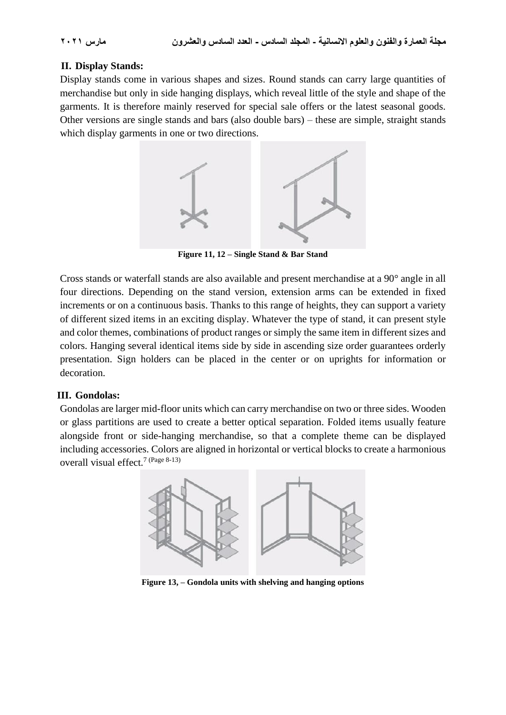## **II. Display Stands:**

Display stands come in various shapes and sizes. Round stands can carry large quantities of merchandise but only in side hanging displays, which reveal little of the style and shape of the garments. It is therefore mainly reserved for special sale offers or the latest seasonal goods. Other versions are single stands and bars (also double bars) – these are simple, straight stands which display garments in one or two directions.



**Figure 11, 12 – Single Stand & Bar Stand**

Cross stands or waterfall stands are also available and present merchandise at a 90° angle in all four directions. Depending on the stand version, extension arms can be extended in fixed increments or on a continuous basis. Thanks to this range of heights, they can support a variety of different sized items in an exciting display. Whatever the type of stand, it can present style and color themes, combinations of product ranges or simply the same item in different sizes and colors. Hanging several identical items side by side in ascending size order guarantees orderly presentation. Sign holders can be placed in the center or on uprights for information or decoration.

## **III. Gondolas:**

Gondolas are larger mid-floor units which can carry merchandise on two or three sides. Wooden or glass partitions are used to create a better optical separation. Folded items usually feature alongside front or side-hanging merchandise, so that a complete theme can be displayed including accessories. Colors are aligned in horizontal or vertical blocks to create a harmonious overall visual effect.<sup>7 (Page 8-13)</sup>



**Figure 13, – Gondola units with shelving and hanging options**